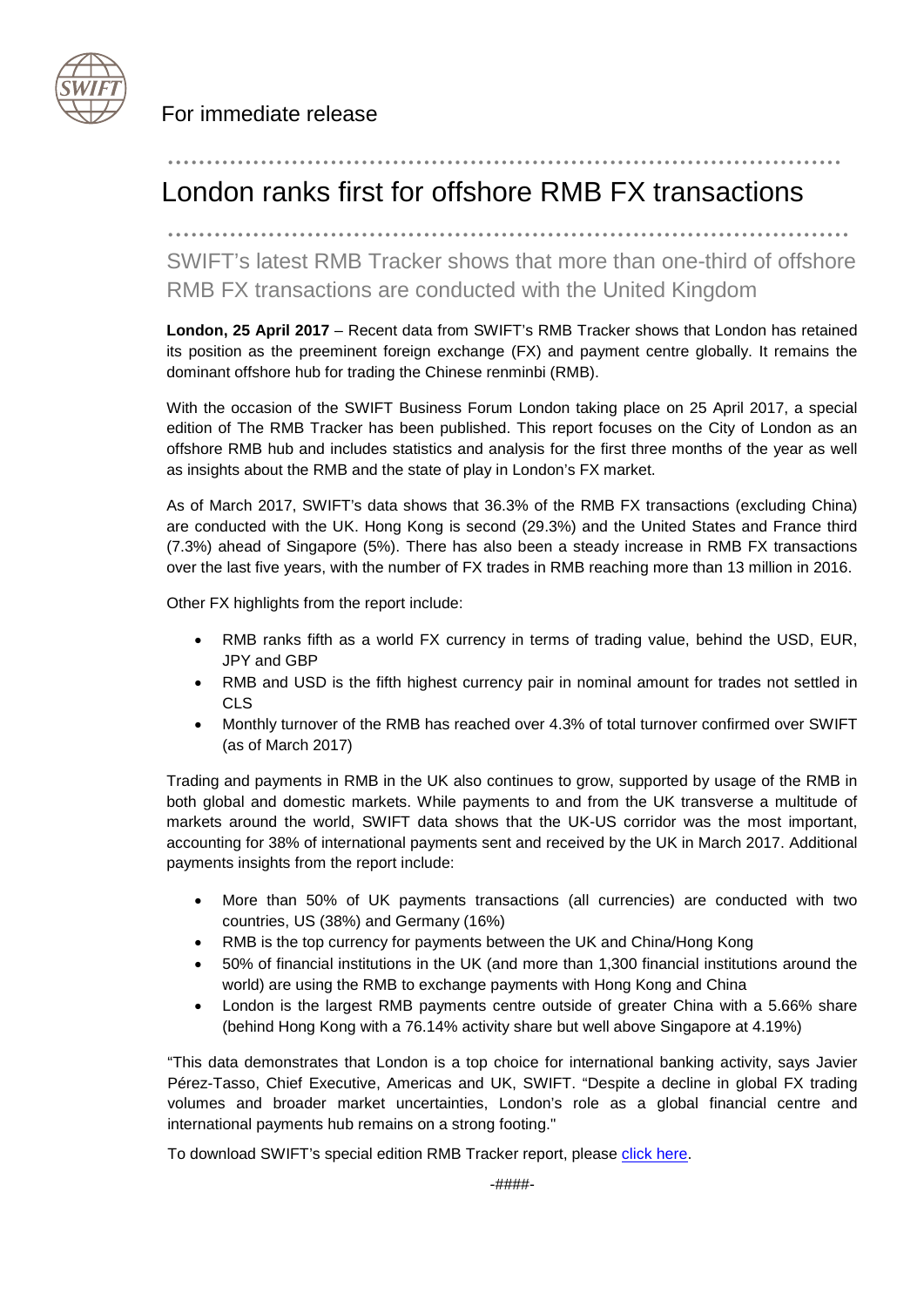

For immediate release

## London ranks first for offshore RMB FX transactions

........................................................................................

.......................................................................................

SWIFT's latest RMB Tracker shows that more than one-third of offshore RMB FX transactions are conducted with the United Kingdom

**London, 25 April 2017** – Recent data from SWIFT's RMB Tracker shows that London has retained its position as the preeminent foreign exchange (FX) and payment centre globally. It remains the dominant offshore hub for trading the Chinese renminbi (RMB).

With the occasion of the SWIFT Business Forum London taking place on 25 April 2017, a special edition of The RMB Tracker has been published. This report focuses on the City of London as an offshore RMB hub and includes statistics and analysis for the first three months of the year as well as insights about the RMB and the state of play in London's FX market.

As of March 2017, SWIFT's data shows that 36.3% of the RMB FX transactions (excluding China) are conducted with the UK. Hong Kong is second (29.3%) and the United States and France third (7.3%) ahead of Singapore (5%). There has also been a steady increase in RMB FX transactions over the last five years, with the number of FX trades in RMB reaching more than 13 million in 2016.

Other FX highlights from the report include:

- RMB ranks fifth as a world FX currency in terms of trading value, behind the USD, EUR, JPY and GBP
- RMB and USD is the fifth highest currency pair in nominal amount for trades not settled in CLS
- Monthly turnover of the RMB has reached over 4.3% of total turnover confirmed over SWIFT (as of March 2017)

Trading and payments in RMB in the UK also continues to grow, supported by usage of the RMB in both global and domestic markets. While payments to and from the UK transverse a multitude of markets around the world, SWIFT data shows that the UK-US corridor was the most important, accounting for 38% of international payments sent and received by the UK in March 2017. Additional payments insights from the report include:

- More than 50% of UK payments transactions (all currencies) are conducted with two countries, US (38%) and Germany (16%)
- RMB is the top currency for payments between the UK and China/Hong Kong
- 50% of financial institutions in the UK (and more than 1,300 financial institutions around the world) are using the RMB to exchange payments with Hong Kong and China
- London is the largest RMB payments centre outside of greater China with a 5.66% share (behind Hong Kong with a 76.14% activity share but well above Singapore at 4.19%)

"This data demonstrates that London is a top choice for international banking activity, says Javier Pérez-Tasso, Chief Executive, Americas and UK, SWIFT. "Despite a decline in global FX trading volumes and broader market uncertainties, London's role as a global financial centre and international payments hub remains on a strong footing."

To download SWIFT's special edition RMB Tracker report, please [click here.](https://www.swift.com/node/82666)